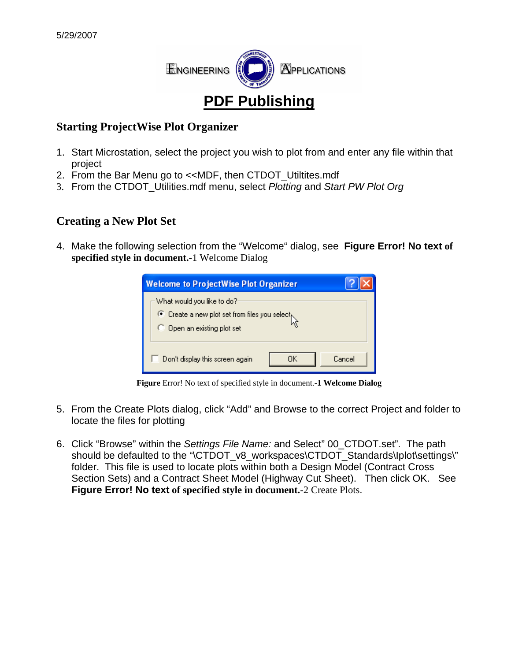

#### **Starting ProjectWise Plot Organizer**

- 1. Start Microstation, select the project you wish to plot from and enter any file within that project
- 2. From the Bar Menu go to <<MDF, then CTDOT Utiltites.mdf
- 3. From the CTDOT\_Utilities.mdf menu, select *Plotting* and *Start PW Plot Org*

#### **Creating a New Plot Set**

4. Make the following selection from the "Welcome" dialog, see **[Figure Error! No text](#page-0-0) of [specified](#page-0-0) style in document.**-1 Welcome Dialog

| <b>Welcome to ProjectWise Plot Organizer</b>                                                              |              |  |  |  |
|-----------------------------------------------------------------------------------------------------------|--------------|--|--|--|
| What would you like to do?:<br>C Create a new plot set from files you select<br>Open an existing plot set |              |  |  |  |
| Don't display this screen again                                                                           | Cancel<br>ОK |  |  |  |

Figure Error! No text of specified style in document.<sup>-1</sup> Welcome Dialog

- <span id="page-0-0"></span>5. From the Create Plots dialog, click "Add" and Browse to the correct Project and folder to locate the files for plotting
- **[Figure Error! No text](#page-1-0) of specified style in document.**-2 Create Plots. 6. Click "Browse" within the *Settings File Name:* and Select" 00\_CTDOT.set". The path should be defaulted to the "\CTDOT\_v8\_workspaces\CTDOT\_Standards\Iplot\settings\" folder. This file is used to locate plots within both a Design Model (Contract Cross Section Sets) and a Contract Sheet Model (Highway Cut Sheet). Then click OK. See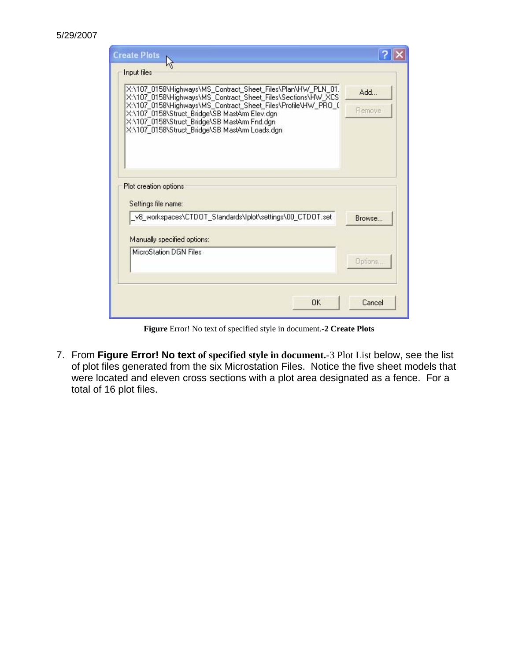| <b>Create Plots</b>                                                                                                                                                                                                                                                                                                                                             |               |
|-----------------------------------------------------------------------------------------------------------------------------------------------------------------------------------------------------------------------------------------------------------------------------------------------------------------------------------------------------------------|---------------|
| Input files<br>X:\107_0158\Highways\MS_Contract_Sheet_Files\Plan\HW_PLN_01.<br>X:\107_0158\Highways\MS_Contract_Sheet_Files\Sections\HW_XCS<br>X:\107_0158\Highways\MS_Contract_Sheet_Files\Profile\HW_PRO_0<br>X:\107_0158\Struct_Bridge\SB MastArm Elev.dgn<br>X:\107_0158\Struct_Bridge\SB MastArm Fnd.dgn<br>X:\107_0158\Struct_Bridge\SB MastArm Loads.dgn | Add<br>Remove |
| Plot creation options<br>Settings file name:                                                                                                                                                                                                                                                                                                                    |               |
| _v8_workspaces\CTD0T_Standards\lplot\settings\00_CTD0T.set                                                                                                                                                                                                                                                                                                      | Browse.       |
| Manually specified options:                                                                                                                                                                                                                                                                                                                                     |               |
| MicroStation DGN Files                                                                                                                                                                                                                                                                                                                                          | Options.      |
| 0K                                                                                                                                                                                                                                                                                                                                                              | Cancel        |

Figure Error! No text of specified style in document.<sup>-2</sup> Create Plots

<span id="page-1-0"></span>7. From Figure Error! No text [of specified style in document.](#page-2-0)-3 Plot List below, see the list of plot files generated from the six Microstation Files. Notice the five sheet models that were located and eleven cross sections with a plot area designated as a fence. For a total of 16 plot files.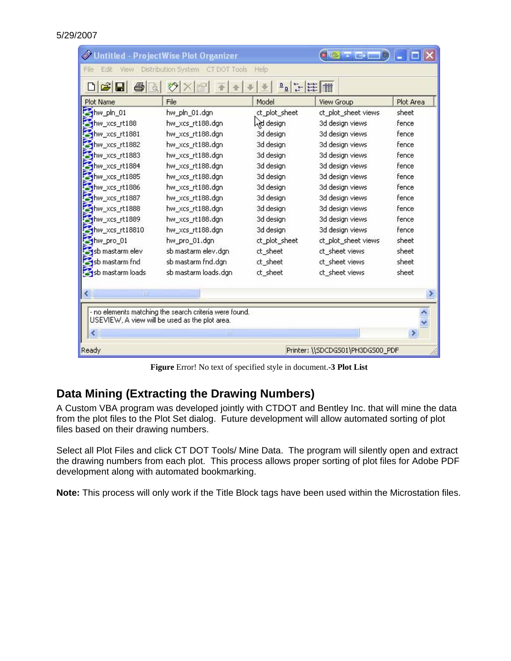| Plot Name        | File                 | Model         | View Group          | Plot Area |
|------------------|----------------------|---------------|---------------------|-----------|
| shw_pln_01       | hw_pln_01.dgn        | ct_plot_sheet | ct_plot_sheet views | sheet     |
| thw_xcs_rt188    | hw_xcs_rt188.dgn     | Ad design     | 3d design views     | fence     |
| hw_xcs_rt1881    | hw_xcs_rt188.dgn     | 3d design     | 3d design views     | fence     |
| hw_xcs_rt1882    | hw_xcs_rt188.dgn     | 3d design     | 3d design views     | fence     |
| thw_xcs_rt1883   | hw_xcs_rt188.dgn     | 3d design     | 3d design views     | fence     |
| hw_xcs_rt1884    | hw_xcs_rt188.dgn     | 3d design     | 3d design views     | fence     |
| thw_xcs_rt1885   | hw_xcs_rt188.dgn     | 3d design     | 3d design views     | fence     |
| hw_xcs_rt1886    | hw_xcs_rt188.dgn     | 3d design     | 3d design views     | fence     |
| thw xcs_rt1887   | hw_xcs_rt188.dgn     | 3d design     | 3d design views     | fence     |
| hw xcs_rt1888    | hw_xcs_rt188.dgn     | 3d design     | 3d design views     | fence     |
| thw xcs_rt1889   | hw_xcs_rt188.dgn     | 3d design     | 3d design views     | fence     |
| thw xcs_rt18810  | hw_xcs_rt188.dgn     | 3d design     | 3d design views     | fence     |
| hw pro 01        | hw_pro_01.dgn        | ct_plot_sheet | ct_plot_sheet views | sheet     |
| sb mastarm elev  | sb mastarm elev.dgn  | ct sheet      | ct sheet views      | sheet     |
| sb mastarm fnd   | sb mastarm fnd.dgn   | ct sheet      | ct sheet views      | sheet     |
| sb mastarm loads | sb mastarm loads.dgn | ct_sheet      | ct_sheet views      | sheet     |
| ≮.<br>Ш          |                      |               |                     |           |

**Figure** Error! No text of specified style in document.**-3 Plot List** 

### <span id="page-2-0"></span>**Data Mining (Extracting the Drawing Numbers)**

A Custom VBA program was developed jointly with CTDOT and Bentley Inc. that will mine the data from the plot files to the Plot Set dialog. Future development will allow automated sorting of plot files based on their drawing numbers.

Select all Plot Files and click CT DOT Tools/ Mine Data. The program will silently open and extract the drawing numbers from each plot. This process allows proper sorting of plot files for Adobe PDF development along with automated bookmarking.

**Note:** This process will only work if the Title Block tags have been used within the Microstation files.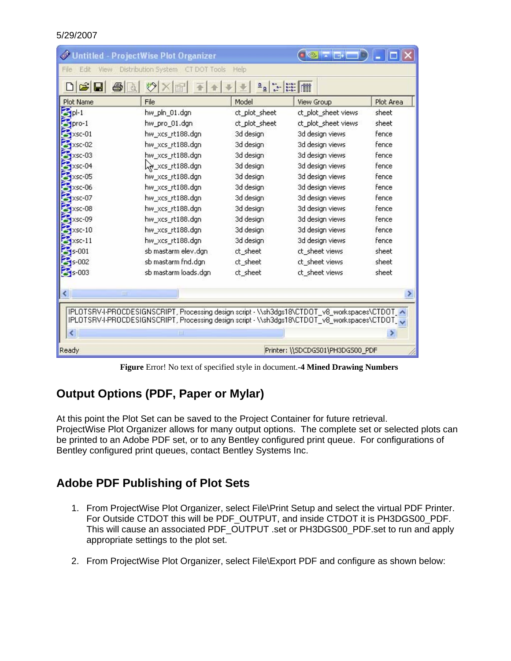| File<br>Edit<br>View                                                        | Distribution System CT DOT Tools                                                                                                                                                                     | Help          |                     |           |
|-----------------------------------------------------------------------------|------------------------------------------------------------------------------------------------------------------------------------------------------------------------------------------------------|---------------|---------------------|-----------|
| tan<br>An<br>C H<br>$\frac{\mathsf{D}}{\mathsf{D}}$<br>$\frac{1}{2}$<br>lii |                                                                                                                                                                                                      |               |                     |           |
| Plot Name                                                                   | File                                                                                                                                                                                                 | Model         | <b>View Group</b>   | Plot Area |
| $=$ pl-1                                                                    | hw_pln_01.dgn                                                                                                                                                                                        | ct_plot_sheet | ct_plot_sheet views | sheet     |
| $I$ <sub>Dro-1</sub>                                                        | hw_pro_01.dgn                                                                                                                                                                                        | ct_plot_sheet | ct_plot_sheet views | sheet     |
| $xsc-01$                                                                    | hw_xcs_rt188.dgn                                                                                                                                                                                     | 3d design     | 3d design views     | fence     |
| $xsc-02$                                                                    | hw_xcs_rt188.dgn                                                                                                                                                                                     | 3d design     | 3d design views     | fence     |
| $xsc-03$                                                                    | hw_xcs_rt188.dgn                                                                                                                                                                                     | 3d design     | 3d design views     | fence     |
| $xsc-04$                                                                    | xcs_rt188.dgn                                                                                                                                                                                        | 3d design     | 3d design views     | fence     |
| $xsc-05$                                                                    | hw_xcs_rt188.dgn                                                                                                                                                                                     | 3d design     | 3d design views     | fence     |
| $\approx$ xsc-06                                                            | hw_xcs_rt188.dgn                                                                                                                                                                                     | 3d design     | 3d design views     | fence     |
| xsc-07                                                                      | hw_xcs_rt188.dgn                                                                                                                                                                                     | 3d design     | 3d design views     | fence     |
| $xsc-08$                                                                    | hw_xcs_rt188.dgn                                                                                                                                                                                     | 3d design     | 3d design views     | fence     |
| $xsc-09$                                                                    | hw_xcs_rt188.dgn                                                                                                                                                                                     | 3d design     | 3d design views     | fence     |
| $xsc-10$                                                                    | hw_xcs_rt188.dgn                                                                                                                                                                                     | 3d design     | 3d design views     | fence     |
| $XSC-11$                                                                    | hw_xcs_rt188.dgn                                                                                                                                                                                     | 3d design     | 3d design views     | fence     |
| $s - 001$                                                                   | sb mastarm elev.dgn                                                                                                                                                                                  | ct sheet      | ct sheet views      | sheet     |
| $s-002$                                                                     | sb mastarm fnd.dgn                                                                                                                                                                                   | ct sheet      | ct sheet views      | sheet     |
| $\approx$ 5-003                                                             | sb mastarm loads.dgn                                                                                                                                                                                 | ct_sheet      | ct_sheet views      | sheet     |
| ШI                                                                          |                                                                                                                                                                                                      |               |                     |           |
|                                                                             | IPLOTSRV-I-PROCDESIGNSCRIPT, Processing design script - \\sh3dgs18\CTDOT_v8_workspaces\CTDOT_^<br>IPLOTSRV-I-PROCDESIGNSCRIPT, Processing design script - \\sh3dgs18\CTDOT_v8_workspaces\CTDOT_<br>Ш |               |                     |           |

**Figure** Error! No text of specified style in document.**-4 Mined Drawing Numbers** 

## **Output Options (PDF, Paper or Mylar)**

At this point the Plot Set can be saved to the Project Container for future retrieval. ProjectWise Plot Organizer allows for many output options. The complete set or selected plots can be printed to an Adobe PDF set, or to any Bentley configured print queue. For configurations of Bentley configured print queues, contact Bentley Systems Inc.

## **Adobe PDF Publishing of Plot Sets**

- 1. From ProjectWise Plot Organizer, select File\Print Setup and select the virtual PDF Printer. For Outside CTDOT this will be PDF\_OUTPUT, and inside CTDOT it is PH3DGS00\_PDF. This will cause an associated PDF\_OUTPUT .set or PH3DGS00\_PDF.set to run and apply appropriate settings to the plot set.
- 2. From ProjectWise Plot Organizer, select File\Export PDF and configure as shown below: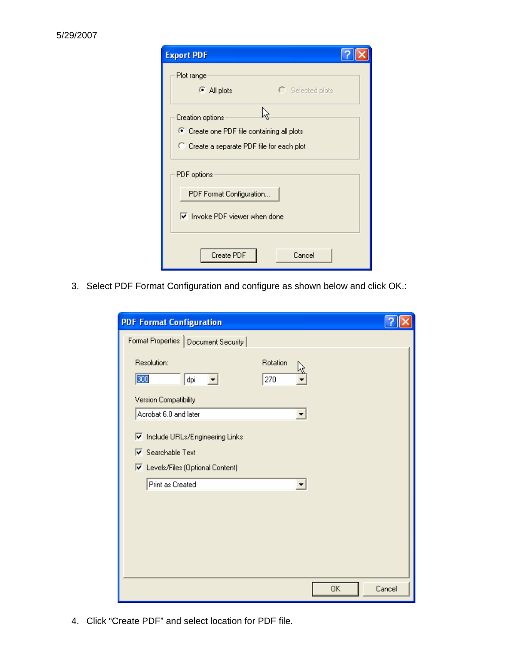| <b>Export PDF</b>                                                                        |  |  |  |  |
|------------------------------------------------------------------------------------------|--|--|--|--|
| Plot range<br>All plots<br>$\bigcirc$ Selected plots                                     |  |  |  |  |
| ź.<br>Creation options                                                                   |  |  |  |  |
| C Create one PDF file containing all plots<br>C Create a separate PDF file for each plot |  |  |  |  |
| PDF options                                                                              |  |  |  |  |
| PDF Format Configuration                                                                 |  |  |  |  |
| <b>▽</b> Invoke PDF viewer when done                                                     |  |  |  |  |
| Create PDF<br>Cancel                                                                     |  |  |  |  |

3. Select PDF Format Configuration and configure as shown below and click OK.:

| <b>PDF Format Configuration</b>                       |                 |           |        |
|-------------------------------------------------------|-----------------|-----------|--------|
| Format Properties   Document Security                 |                 |           |        |
| Resolution:<br>300<br>dpi<br>$\vert \mathbf{v} \vert$ | Rotation<br>270 |           |        |
| Version Compatibility                                 |                 |           |        |
| Acrobat 6.0 and later                                 |                 | ▼         |        |
| <b>▽</b> Include URLs/Engineering Links               |                 |           |        |
| $\overline{\triangledown}$ Searchable Text            |                 |           |        |
| <b>▽</b> Levels/Files (Optional Content)              |                 |           |        |
| Print as Created                                      |                 | ▼         |        |
|                                                       |                 |           |        |
|                                                       |                 |           |        |
|                                                       |                 |           |        |
|                                                       |                 |           |        |
|                                                       |                 | <b>OK</b> | Cancel |

4. Click "Create PDF" and select location for PDF file.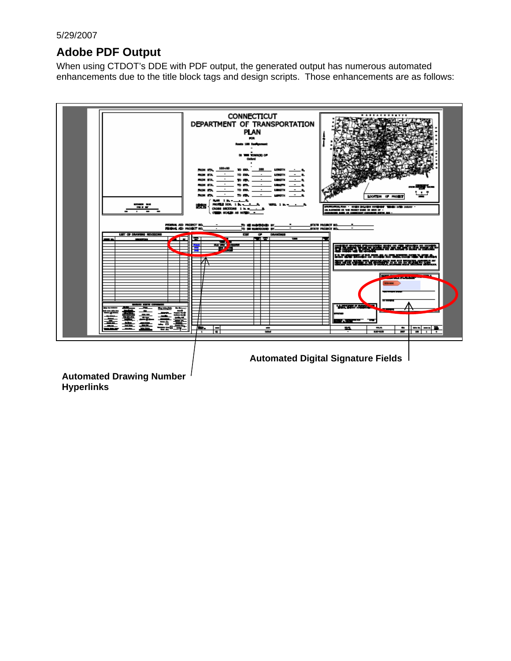# **Adobe PDF Output**

When using CTDOT's DDE with PDF output, the generated output has numerous automated enhancements due to the title block tags and design scripts. Those enhancements are as follows:



**Hyperlinks**